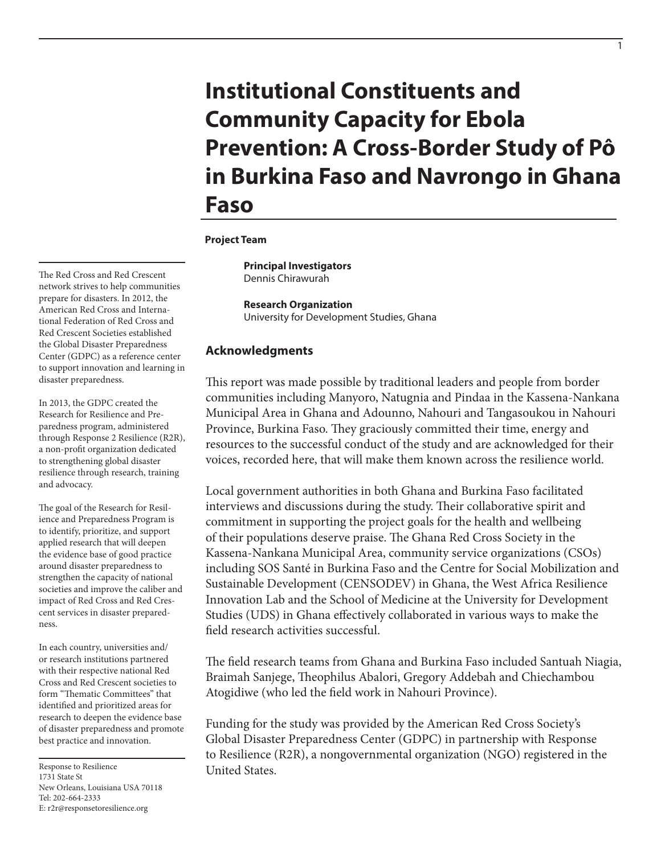# **Institutional Constituents and Community Capacity for Ebola Prevention: A Cross-Border Study of Pô in Burkina Faso and Navrongo in Ghana Faso**

1

#### **Project Team**

**Principal Investigators**  Dennis Chirawurah

**Research Organization** University for Development Studies, Ghana

## **Acknowledgments**

This report was made possible by traditional leaders and people from border communities including Manyoro, Natugnia and Pindaa in the Kassena-Nankana Municipal Area in Ghana and Adounno, Nahouri and Tangasoukou in Nahouri Province, Burkina Faso. They graciously committed their time, energy and resources to the successful conduct of the study and are acknowledged for their voices, recorded here, that will make them known across the resilience world.

Local government authorities in both Ghana and Burkina Faso facilitated interviews and discussions during the study. Their collaborative spirit and commitment in supporting the project goals for the health and wellbeing of their populations deserve praise. The Ghana Red Cross Society in the Kassena-Nankana Municipal Area, community service organizations (CSOs) including SOS Santé in Burkina Faso and the Centre for Social Mobilization and Sustainable Development (CENSODEV) in Ghana, the West Africa Resilience Innovation Lab and the School of Medicine at the University for Development Studies (UDS) in Ghana effectively collaborated in various ways to make the field research activities successful.

The field research teams from Ghana and Burkina Faso included Santuah Niagia, Braimah Sanjege, Theophilus Abalori, Gregory Addebah and Chiechambou Atogidiwe (who led the field work in Nahouri Province).

Funding for the study was provided by the American Red Cross Society's Global Disaster Preparedness Center (GDPC) in partnership with Response to Resilience (R2R), a nongovernmental organization (NGO) registered in the United States.

The Red Cross and Red Crescent network strives to help communities prepare for disasters. In 2012, the American Red Cross and International Federation of Red Cross and Red Crescent Societies established the Global Disaster Preparedness Center (GDPC) as a reference center to support innovation and learning in disaster preparedness.

In 2013, the GDPC created the Research for Resilience and Preparedness program, administered through Response 2 Resilience (R2R), a non-profit organization dedicated to strengthening global disaster resilience through research, training and advocacy.

The goal of the Research for Resilience and Preparedness Program is to identify, prioritize, and support applied research that will deepen the evidence base of good practice around disaster preparedness to strengthen the capacity of national societies and improve the caliber and impact of Red Cross and Red Crescent services in disaster preparedness.

In each country, universities and/ or research institutions partnered with their respective national Red Cross and Red Crescent societies to form "Thematic Committees" that identified and prioritized areas for research to deepen the evidence base of disaster preparedness and promote best practice and innovation.

Response to Resilience 1731 State St New Orleans, Louisiana USA 70118 Tel: 202-664-2333 E: r2r@responsetoresilience.org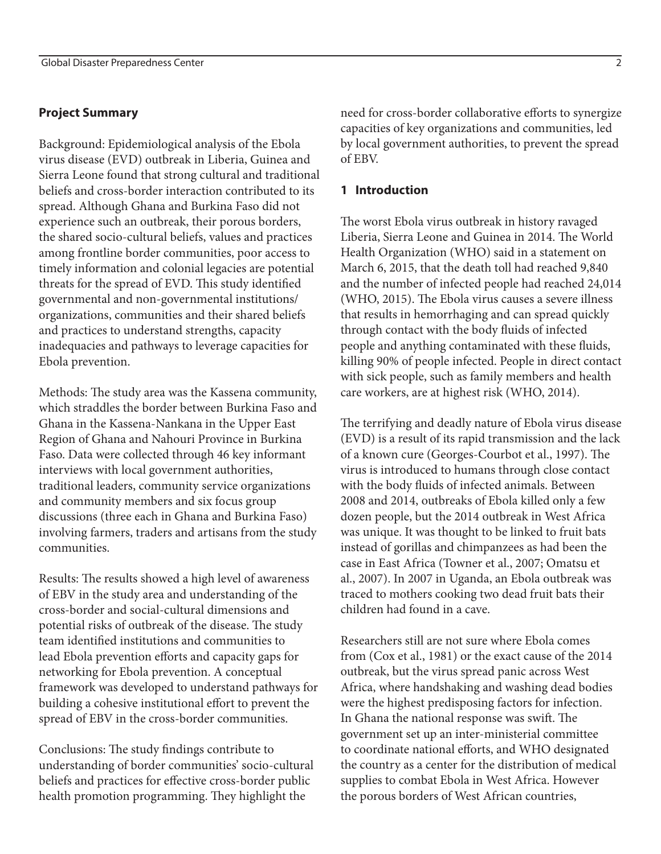## **Project Summary**

Background: Epidemiological analysis of the Ebola virus disease (EVD) outbreak in Liberia, Guinea and Sierra Leone found that strong cultural and traditional beliefs and cross-border interaction contributed to its spread. Although Ghana and Burkina Faso did not experience such an outbreak, their porous borders, the shared socio-cultural beliefs, values and practices among frontline border communities, poor access to timely information and colonial legacies are potential threats for the spread of EVD. This study identified governmental and non-governmental institutions/ organizations, communities and their shared beliefs and practices to understand strengths, capacity inadequacies and pathways to leverage capacities for Ebola prevention.

Methods: The study area was the Kassena community, which straddles the border between Burkina Faso and Ghana in the Kassena-Nankana in the Upper East Region of Ghana and Nahouri Province in Burkina Faso. Data were collected through 46 key informant interviews with local government authorities, traditional leaders, community service organizations and community members and six focus group discussions (three each in Ghana and Burkina Faso) involving farmers, traders and artisans from the study communities.

Results: The results showed a high level of awareness of EBV in the study area and understanding of the cross-border and social-cultural dimensions and potential risks of outbreak of the disease. The study team identified institutions and communities to lead Ebola prevention efforts and capacity gaps for networking for Ebola prevention. A conceptual framework was developed to understand pathways for building a cohesive institutional effort to prevent the spread of EBV in the cross-border communities.

Conclusions: The study findings contribute to understanding of border communities' socio-cultural beliefs and practices for effective cross-border public health promotion programming. They highlight the

need for cross-border collaborative efforts to synergize capacities of key organizations and communities, led by local government authorities, to prevent the spread of EBV.

## **1 Introduction**

The worst Ebola virus outbreak in history ravaged Liberia, Sierra Leone and Guinea in 2014. The World Health Organization (WHO) said in a statement on March 6, 2015, that the death toll had reached 9,840 and the number of infected people had reached 24,014 (WHO, 2015). The Ebola virus causes a severe illness that results in hemorrhaging and can spread quickly through contact with the body fluids of infected people and anything contaminated with these fluids, killing 90% of people infected. People in direct contact with sick people, such as family members and health care workers, are at highest risk (WHO, 2014).

The terrifying and deadly nature of Ebola virus disease (EVD) is a result of its rapid transmission and the lack of a known cure (Georges-Courbot et al., 1997). The virus is introduced to humans through close contact with the body fluids of infected animals. Between 2008 and 2014, outbreaks of Ebola killed only a few dozen people, but the 2014 outbreak in West Africa was unique. It was thought to be linked to fruit bats instead of gorillas and chimpanzees as had been the case in East Africa (Towner et al., 2007; Omatsu et al., 2007). In 2007 in Uganda, an Ebola outbreak was traced to mothers cooking two dead fruit bats their children had found in a cave.

Researchers still are not sure where Ebola comes from (Cox et al., 1981) or the exact cause of the 2014 outbreak, but the virus spread panic across West Africa, where handshaking and washing dead bodies were the highest predisposing factors for infection. In Ghana the national response was swift. The government set up an inter-ministerial committee to coordinate national efforts, and WHO designated the country as a center for the distribution of medical supplies to combat Ebola in West Africa. However the porous borders of West African countries,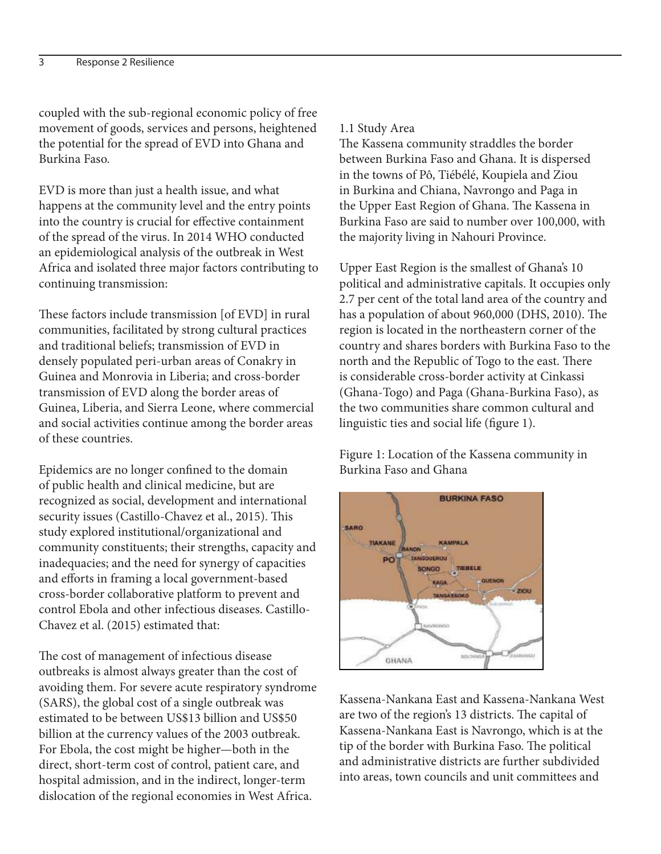coupled with the sub-regional economic policy of free movement of goods, services and persons, heightened the potential for the spread of EVD into Ghana and Burkina Faso.

EVD is more than just a health issue, and what happens at the community level and the entry points into the country is crucial for effective containment of the spread of the virus. In 2014 WHO conducted an epidemiological analysis of the outbreak in West Africa and isolated three major factors contributing to continuing transmission:

These factors include transmission [of EVD] in rural communities, facilitated by strong cultural practices and traditional beliefs; transmission of EVD in densely populated peri-urban areas of Conakry in Guinea and Monrovia in Liberia; and cross-border transmission of EVD along the border areas of Guinea, Liberia, and Sierra Leone, where commercial and social activities continue among the border areas of these countries.

Epidemics are no longer confined to the domain of public health and clinical medicine, but are recognized as social, development and international security issues (Castillo-Chavez et al., 2015). This study explored institutional/organizational and community constituents; their strengths, capacity and inadequacies; and the need for synergy of capacities and efforts in framing a local government-based cross-border collaborative platform to prevent and control Ebola and other infectious diseases. Castillo-Chavez et al. (2015) estimated that:

The cost of management of infectious disease outbreaks is almost always greater than the cost of avoiding them. For severe acute respiratory syndrome (SARS), the global cost of a single outbreak was estimated to be between US\$13 billion and US\$50 billion at the currency values of the 2003 outbreak. For Ebola, the cost might be higher—both in the direct, short-term cost of control, patient care, and hospital admission, and in the indirect, longer-term dislocation of the regional economies in West Africa.

#### 1.1 Study Area

The Kassena community straddles the border between Burkina Faso and Ghana. It is dispersed in the towns of Pô, Tiébélé, Koupiela and Ziou in Burkina and Chiana, Navrongo and Paga in the Upper East Region of Ghana. The Kassena in Burkina Faso are said to number over 100,000, with the majority living in Nahouri Province.

Upper East Region is the smallest of Ghana's 10 political and administrative capitals. It occupies only 2.7 per cent of the total land area of the country and has a population of about 960,000 (DHS, 2010). The region is located in the northeastern corner of the country and shares borders with Burkina Faso to the north and the Republic of Togo to the east. There is considerable cross-border activity at Cinkassi (Ghana-Togo) and Paga (Ghana-Burkina Faso), as the two communities share common cultural and linguistic ties and social life (figure 1).

Figure 1: Location of the Kassena community in Burkina Faso and Ghana



Kassena-Nankana East and Kassena-Nankana West are two of the region's 13 districts. The capital of Kassena-Nankana East is Navrongo, which is at the tip of the border with Burkina Faso. The political and administrative districts are further subdivided into areas, town councils and unit committees and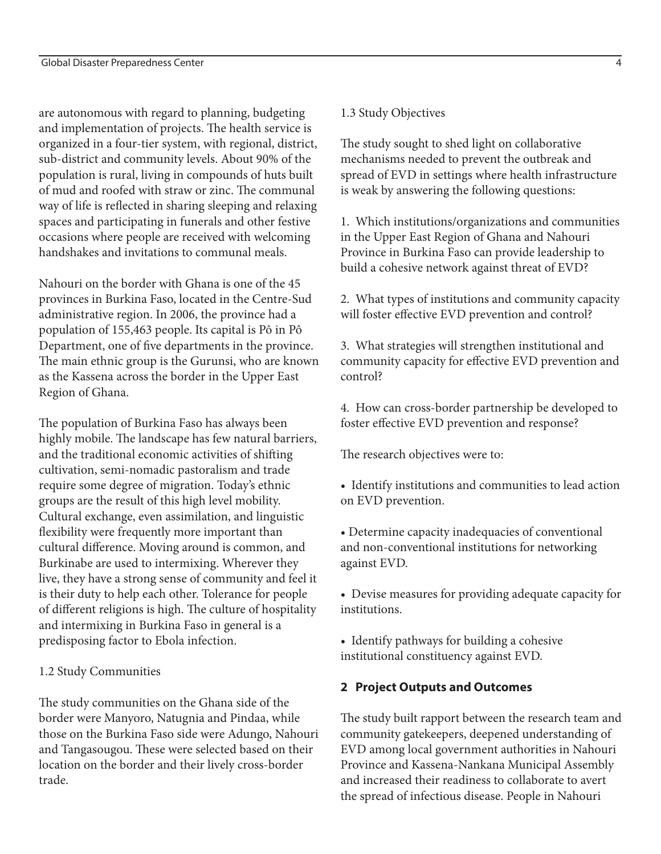are autonomous with regard to planning, budgeting and implementation of projects. The health service is organized in a four-tier system, with regional, district, sub-district and community levels. About 90% of the population is rural, living in compounds of huts built of mud and roofed with straw or zinc. The communal way of life is reflected in sharing sleeping and relaxing spaces and participating in funerals and other festive occasions where people are received with welcoming handshakes and invitations to communal meals.

Nahouri on the border with Ghana is one of the 45 provinces in Burkina Faso, located in the Centre-Sud administrative region. In 2006, the province had a population of 155,463 people. Its capital is Pô in Pô Department, one of five departments in the province. The main ethnic group is the Gurunsi, who are known as the Kassena across the border in the Upper East Region of Ghana.

The population of Burkina Faso has always been highly mobile. The landscape has few natural barriers, and the traditional economic activities of shifting cultivation, semi-nomadic pastoralism and trade require some degree of migration. Today's ethnic groups are the result of this high level mobility. Cultural exchange, even assimilation, and linguistic flexibility were frequently more important than cultural difference. Moving around is common, and Burkinabe are used to intermixing. Wherever they live, they have a strong sense of community and feel it is their duty to help each other. Tolerance for people of different religions is high. The culture of hospitality and intermixing in Burkina Faso in general is a predisposing factor to Ebola infection.

# 1.2 Study Communities

The study communities on the Ghana side of the border were Manyoro, Natugnia and Pindaa, while those on the Burkina Faso side were Adungo, Nahouri and Tangasougou. These were selected based on their location on the border and their lively cross-border trade.

# 1.3 Study Objectives

The study sought to shed light on collaborative mechanisms needed to prevent the outbreak and spread of EVD in settings where health infrastructure is weak by answering the following questions:

1. Which institutions/organizations and communities in the Upper East Region of Ghana and Nahouri Province in Burkina Faso can provide leadership to build a cohesive network against threat of EVD?

2. What types of institutions and community capacity will foster effective EVD prevention and control?

3. What strategies will strengthen institutional and community capacity for effective EVD prevention and control?

4. How can cross-border partnership be developed to foster effective EVD prevention and response?

The research objectives were to:

• Identify institutions and communities to lead action on EVD prevention.

• Determine capacity inadequacies of conventional and non-conventional institutions for networking against EVD.

• Devise measures for providing adequate capacity for institutions.

• Identify pathways for building a cohesive institutional constituency against EVD.

# **2 Project Outputs and Outcomes**

The study built rapport between the research team and community gatekeepers, deepened understanding of EVD among local government authorities in Nahouri Province and Kassena-Nankana Municipal Assembly and increased their readiness to collaborate to avert the spread of infectious disease. People in Nahouri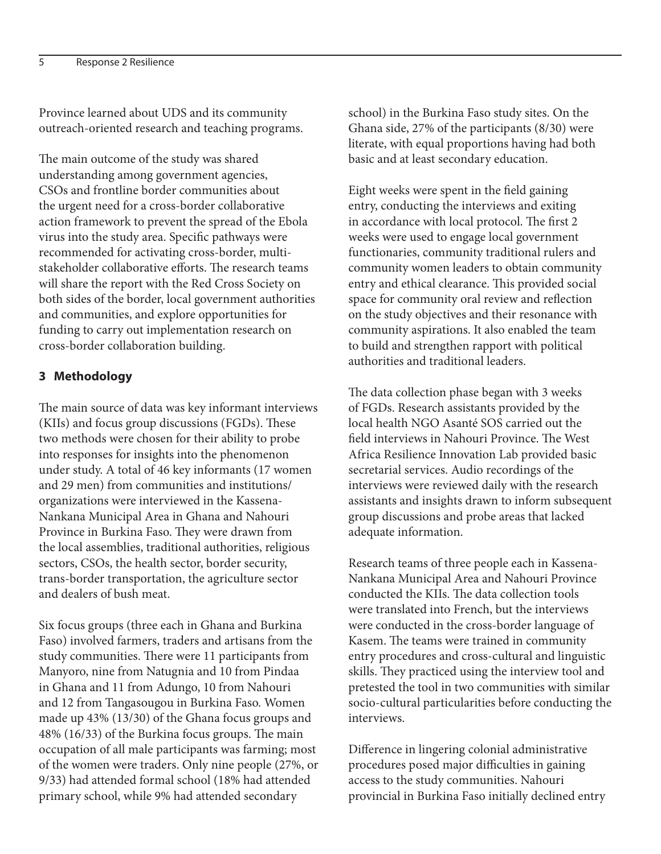Province learned about UDS and its community outreach-oriented research and teaching programs.

The main outcome of the study was shared understanding among government agencies, CSOs and frontline border communities about the urgent need for a cross-border collaborative action framework to prevent the spread of the Ebola virus into the study area. Specific pathways were recommended for activating cross-border, multistakeholder collaborative efforts. The research teams will share the report with the Red Cross Society on both sides of the border, local government authorities and communities, and explore opportunities for funding to carry out implementation research on cross-border collaboration building.

## **3 Methodology**

The main source of data was key informant interviews (KIIs) and focus group discussions (FGDs). These two methods were chosen for their ability to probe into responses for insights into the phenomenon under study. A total of 46 key informants (17 women and 29 men) from communities and institutions/ organizations were interviewed in the Kassena-Nankana Municipal Area in Ghana and Nahouri Province in Burkina Faso. They were drawn from the local assemblies, traditional authorities, religious sectors, CSOs, the health sector, border security, trans-border transportation, the agriculture sector and dealers of bush meat.

Six focus groups (three each in Ghana and Burkina Faso) involved farmers, traders and artisans from the study communities. There were 11 participants from Manyoro, nine from Natugnia and 10 from Pindaa in Ghana and 11 from Adungo, 10 from Nahouri and 12 from Tangasougou in Burkina Faso. Women made up 43% (13/30) of the Ghana focus groups and 48% (16/33) of the Burkina focus groups. The main occupation of all male participants was farming; most of the women were traders. Only nine people (27%, or 9/33) had attended formal school (18% had attended primary school, while 9% had attended secondary

school) in the Burkina Faso study sites. On the Ghana side, 27% of the participants (8/30) were literate, with equal proportions having had both basic and at least secondary education.

Eight weeks were spent in the field gaining entry, conducting the interviews and exiting in accordance with local protocol. The first 2 weeks were used to engage local government functionaries, community traditional rulers and community women leaders to obtain community entry and ethical clearance. This provided social space for community oral review and reflection on the study objectives and their resonance with community aspirations. It also enabled the team to build and strengthen rapport with political authorities and traditional leaders.

The data collection phase began with 3 weeks of FGDs. Research assistants provided by the local health NGO Asanté SOS carried out the field interviews in Nahouri Province. The West Africa Resilience Innovation Lab provided basic secretarial services. Audio recordings of the interviews were reviewed daily with the research assistants and insights drawn to inform subsequent group discussions and probe areas that lacked adequate information.

Research teams of three people each in Kassena-Nankana Municipal Area and Nahouri Province conducted the KIIs. The data collection tools were translated into French, but the interviews were conducted in the cross-border language of Kasem. The teams were trained in community entry procedures and cross-cultural and linguistic skills. They practiced using the interview tool and pretested the tool in two communities with similar socio-cultural particularities before conducting the interviews.

Difference in lingering colonial administrative procedures posed major difficulties in gaining access to the study communities. Nahouri provincial in Burkina Faso initially declined entry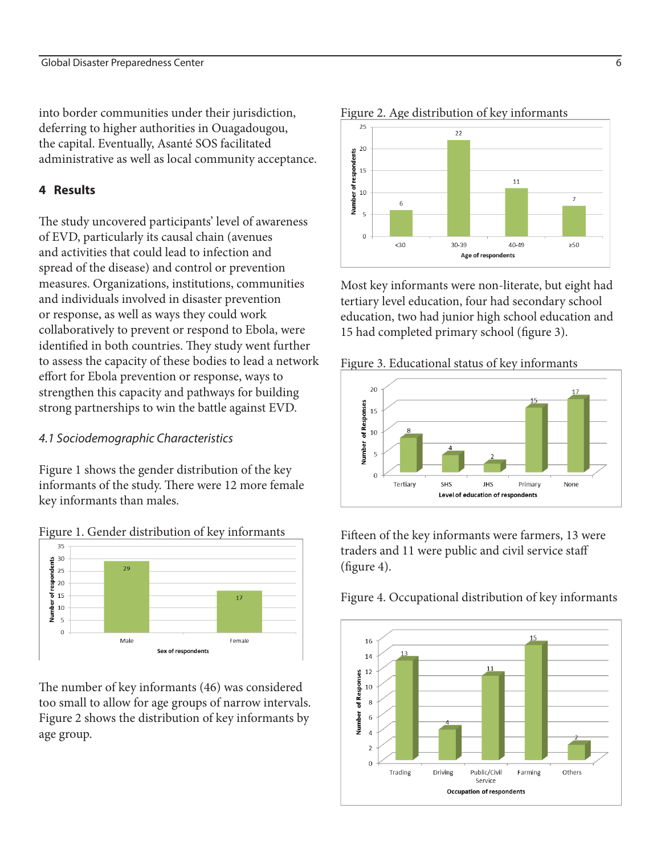into border communities under their jurisdiction, deferring to higher authorities in Ouagadougou, the capital. Eventually, Asanté SOS facilitated administrative as well as local community acceptance.

## **4 Results**

The study uncovered participants' level of awareness of EVD, particularly its causal chain (avenues and activities that could lead to infection and spread of the disease) and control or prevention measures. Organizations, institutions, communities and individuals involved in disaster prevention or response, as well as ways they could work collaboratively to prevent or respond to Ebola, were identified in both countries. They study went further to assess the capacity of these bodies to lead a network effort for Ebola prevention or response, ways to strengthen this capacity and pathways for building strong partnerships to win the battle against EVD.

## *4.1 Sociodemographic Characteristics*

Figure 1 shows the gender distribution of the key informants of the study. There were 12 more female key informants than males.





The number of key informants (46) was considered too small to allow for age groups of narrow intervals. Figure 2 shows the distribution of key informants by age group.



Most key informants were non-literate, but eight had tertiary level education, four had secondary school education, two had junior high school education and 15 had completed primary school (figure 3).

Figure 3. Educational status of key informants



Fifteen of the key informants were farmers, 13 were traders and 11 were public and civil service staff (figure 4).



## Figure 4. Occupational distribution of key informants

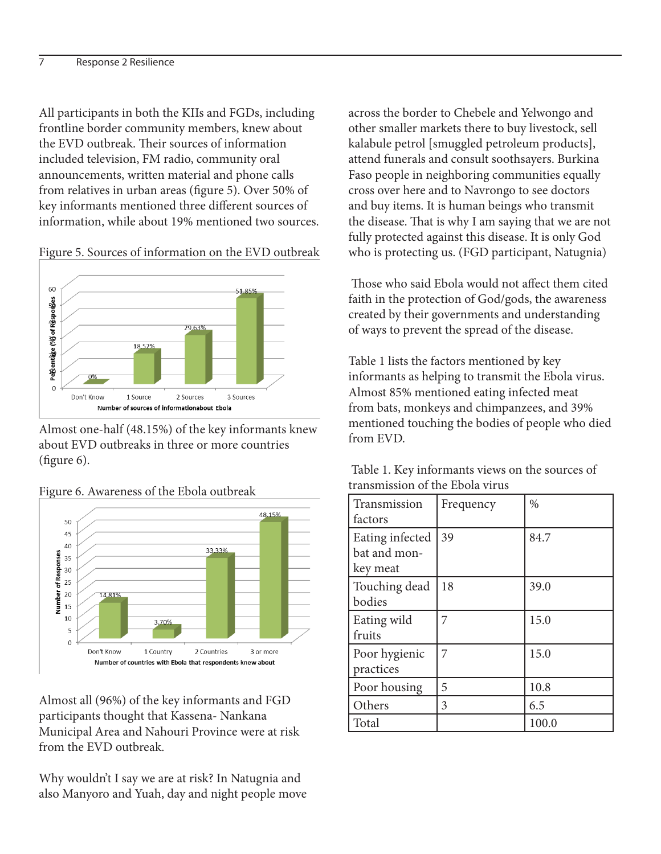All participants in both the KIIs and FGDs, including frontline border community members, knew about the EVD outbreak. Their sources of information included television, FM radio, community oral announcements, written material and phone calls from relatives in urban areas (figure 5). Over 50% of key informants mentioned three different sources of information, while about 19% mentioned two sources.



Figure 5. Sources of information on the EVD outbreak

Almost one-half (48.15%) of the key informants knew about EVD outbreaks in three or more countries (figure 6).



Figure 6. Awareness of the Ebola outbreak

Almost all (96%) of the key informants and FGD participants thought that Kassena- Nankana Municipal Area and Nahouri Province were at risk from the EVD outbreak.

Why wouldn't I say we are at risk? In Natugnia and also Manyoro and Yuah, day and night people move across the border to Chebele and Yelwongo and other smaller markets there to buy livestock, sell kalabule petrol [smuggled petroleum products], attend funerals and consult soothsayers. Burkina Faso people in neighboring communities equally cross over here and to Navrongo to see doctors and buy items. It is human beings who transmit the disease. That is why I am saying that we are not fully protected against this disease. It is only God who is protecting us. (FGD participant, Natugnia)

 Those who said Ebola would not affect them cited faith in the protection of God/gods, the awareness created by their governments and understanding of ways to prevent the spread of the disease.

Table 1 lists the factors mentioned by key informants as helping to transmit the Ebola virus. Almost 85% mentioned eating infected meat from bats, monkeys and chimpanzees, and 39% mentioned touching the bodies of people who died from EVD.

| Table 1. Key informants views on the sources of |  |
|-------------------------------------------------|--|
| transmission of the Ebola virus                 |  |

| Transmission<br>factors                     | Frequency | $\%$  |
|---------------------------------------------|-----------|-------|
| Eating infected<br>bat and mon-<br>key meat | 39        | 84.7  |
| Touching dead<br>bodies                     | 18        | 39.0  |
| Eating wild<br>fruits                       |           | 15.0  |
| Poor hygienic<br>practices                  | 7         | 15.0  |
| Poor housing                                | 5         | 10.8  |
| Others                                      | 3         | 6.5   |
| Total                                       |           | 100.0 |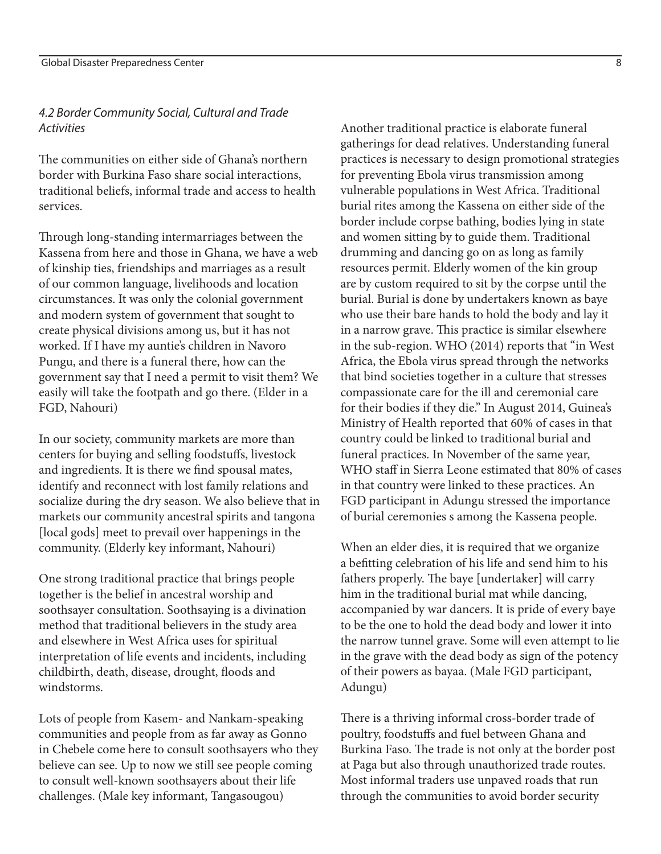## *4.2 Border Community Social, Cultural and Trade Activities*

The communities on either side of Ghana's northern border with Burkina Faso share social interactions, traditional beliefs, informal trade and access to health services.

Through long-standing intermarriages between the Kassena from here and those in Ghana, we have a web of kinship ties, friendships and marriages as a result of our common language, livelihoods and location circumstances. It was only the colonial government and modern system of government that sought to create physical divisions among us, but it has not worked. If I have my auntie's children in Navoro Pungu, and there is a funeral there, how can the government say that I need a permit to visit them? We easily will take the footpath and go there. (Elder in a FGD, Nahouri)

In our society, community markets are more than centers for buying and selling foodstuffs, livestock and ingredients. It is there we find spousal mates, identify and reconnect with lost family relations and socialize during the dry season. We also believe that in markets our community ancestral spirits and tangona [local gods] meet to prevail over happenings in the community. (Elderly key informant, Nahouri)

One strong traditional practice that brings people together is the belief in ancestral worship and soothsayer consultation. Soothsaying is a divination method that traditional believers in the study area and elsewhere in West Africa uses for spiritual interpretation of life events and incidents, including childbirth, death, disease, drought, floods and windstorms.

Lots of people from Kasem- and Nankam-speaking communities and people from as far away as Gonno in Chebele come here to consult soothsayers who they believe can see. Up to now we still see people coming to consult well-known soothsayers about their life challenges. (Male key informant, Tangasougou)

Another traditional practice is elaborate funeral gatherings for dead relatives. Understanding funeral practices is necessary to design promotional strategies for preventing Ebola virus transmission among vulnerable populations in West Africa. Traditional burial rites among the Kassena on either side of the border include corpse bathing, bodies lying in state and women sitting by to guide them. Traditional drumming and dancing go on as long as family resources permit. Elderly women of the kin group are by custom required to sit by the corpse until the burial. Burial is done by undertakers known as baye who use their bare hands to hold the body and lay it in a narrow grave. This practice is similar elsewhere in the sub-region. WHO (2014) reports that "in West Africa, the Ebola virus spread through the networks that bind societies together in a culture that stresses compassionate care for the ill and ceremonial care for their bodies if they die." In August 2014, Guinea's Ministry of Health reported that 60% of cases in that country could be linked to traditional burial and funeral practices. In November of the same year, WHO staff in Sierra Leone estimated that 80% of cases in that country were linked to these practices. An FGD participant in Adungu stressed the importance of burial ceremonies s among the Kassena people.

When an elder dies, it is required that we organize a befitting celebration of his life and send him to his fathers properly. The baye [undertaker] will carry him in the traditional burial mat while dancing, accompanied by war dancers. It is pride of every baye to be the one to hold the dead body and lower it into the narrow tunnel grave. Some will even attempt to lie in the grave with the dead body as sign of the potency of their powers as bayaa. (Male FGD participant, Adungu)

There is a thriving informal cross-border trade of poultry, foodstuffs and fuel between Ghana and Burkina Faso. The trade is not only at the border post at Paga but also through unauthorized trade routes. Most informal traders use unpaved roads that run through the communities to avoid border security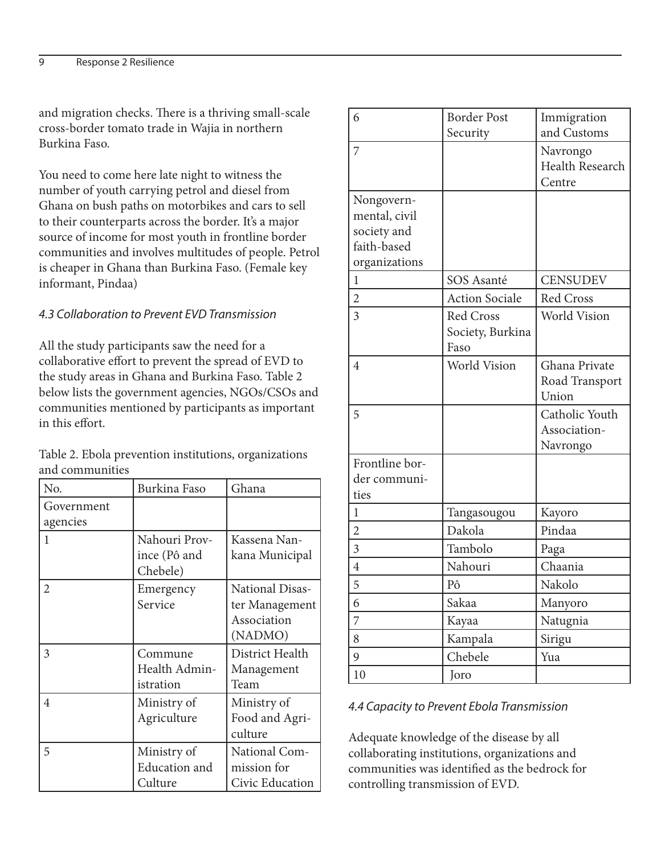and migration checks. There is a thriving small-scale cross-border tomato trade in Wajia in northern Burkina Faso.

You need to come here late night to witness the number of youth carrying petrol and diesel from Ghana on bush paths on motorbikes and cars to sell to their counterparts across the border. It's a major source of income for most youth in frontline border communities and involves multitudes of people. Petrol is cheaper in Ghana than Burkina Faso. (Female key informant, Pindaa)

## *4.3 Collaboration to Prevent EVD Transmission*

All the study participants saw the need for a collaborative effort to prevent the spread of EVD to the study areas in Ghana and Burkina Faso. Table 2 below lists the government agencies, NGOs/CSOs and communities mentioned by participants as important in this effort.

Table 2. Ebola prevention institutions, organizations and communities

| No.                    | Burkina Faso                                   | Ghana                                                       |
|------------------------|------------------------------------------------|-------------------------------------------------------------|
| Government<br>agencies |                                                |                                                             |
| 1                      | Nahouri Prov-<br>ince (Pô and<br>Chebele)      | Kassena Nan-<br>kana Municipal                              |
| 2                      | Emergency<br>Service                           | National Disas-<br>ter Management<br>Association<br>(NADMO) |
| 3                      | Commune<br>Health Admin-<br>istration          | District Health<br>Management<br>Team                       |
| 4                      | Ministry of<br>Agriculture                     | Ministry of<br>Food and Agri-<br>culture                    |
| 5                      | Ministry of<br><b>Education</b> and<br>Culture | National Com-<br>mission for<br>Civic Education             |

| 6              | <b>Border Post</b>    | Immigration     |
|----------------|-----------------------|-----------------|
|                | Security              | and Customs     |
| 7              |                       | Navrongo        |
|                |                       | Health Research |
|                |                       | Centre          |
| Nongovern-     |                       |                 |
| mental, civil  |                       |                 |
| society and    |                       |                 |
| faith-based    |                       |                 |
| organizations  |                       |                 |
| 1              | <b>SOS Asanté</b>     | <b>CENSUDEV</b> |
| $\overline{2}$ | <b>Action Sociale</b> | Red Cross       |
| $\overline{3}$ | <b>Red Cross</b>      | World Vision    |
|                | Society, Burkina      |                 |
|                | Faso                  |                 |
| $\overline{4}$ | <b>World Vision</b>   | Ghana Private   |
|                |                       | Road Transport  |
|                |                       | Union           |
| 5              |                       | Catholic Youth  |
|                |                       | Association-    |
|                |                       | Navrongo        |
| Frontline bor- |                       |                 |
| der communi-   |                       |                 |
| ties           |                       |                 |
| 1              | Tangasougou           | Kayoro          |
| $\overline{2}$ | Dakola                | Pindaa          |
| $\overline{3}$ | Tambolo               | Paga            |
| $\overline{4}$ | Nahouri               | Chaania         |
| 5              | Pô                    | Nakolo          |
| 6              | Sakaa                 | Manyoro         |
| 7              | Kayaa                 | Natugnia        |
| 8              | Kampala               | Sirigu          |
| 9              | Chebele               | Yua             |
| $10\,$         | Joro                  |                 |

## *4.4 Capacity to Prevent Ebola Transmission*

Adequate knowledge of the disease by all collaborating institutions, organizations and communities was identified as the bedrock for controlling transmission of EVD.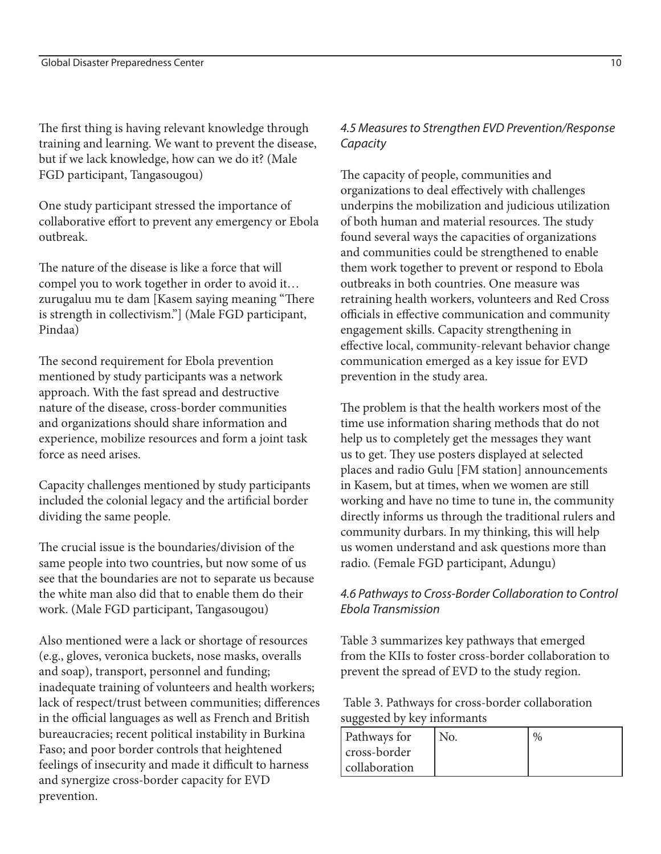The first thing is having relevant knowledge through training and learning. We want to prevent the disease, but if we lack knowledge, how can we do it? (Male FGD participant, Tangasougou)

One study participant stressed the importance of collaborative effort to prevent any emergency or Ebola outbreak.

The nature of the disease is like a force that will compel you to work together in order to avoid it… zurugaluu mu te dam [Kasem saying meaning "There is strength in collectivism."] (Male FGD participant, Pindaa)

The second requirement for Ebola prevention mentioned by study participants was a network approach. With the fast spread and destructive nature of the disease, cross-border communities and organizations should share information and experience, mobilize resources and form a joint task force as need arises.

Capacity challenges mentioned by study participants included the colonial legacy and the artificial border dividing the same people.

The crucial issue is the boundaries/division of the same people into two countries, but now some of us see that the boundaries are not to separate us because the white man also did that to enable them do their work. (Male FGD participant, Tangasougou)

Also mentioned were a lack or shortage of resources (e.g., gloves, veronica buckets, nose masks, overalls and soap), transport, personnel and funding; inadequate training of volunteers and health workers; lack of respect/trust between communities; differences in the official languages as well as French and British bureaucracies; recent political instability in Burkina Faso; and poor border controls that heightened feelings of insecurity and made it difficult to harness and synergize cross-border capacity for EVD prevention.

# *4.5 Measures to Strengthen EVD Prevention/Response Capacity*

The capacity of people, communities and organizations to deal effectively with challenges underpins the mobilization and judicious utilization of both human and material resources. The study found several ways the capacities of organizations and communities could be strengthened to enable them work together to prevent or respond to Ebola outbreaks in both countries. One measure was retraining health workers, volunteers and Red Cross officials in effective communication and community engagement skills. Capacity strengthening in effective local, community-relevant behavior change communication emerged as a key issue for EVD prevention in the study area.

The problem is that the health workers most of the time use information sharing methods that do not help us to completely get the messages they want us to get. They use posters displayed at selected places and radio Gulu [FM station] announcements in Kasem, but at times, when we women are still working and have no time to tune in, the community directly informs us through the traditional rulers and community durbars. In my thinking, this will help us women understand and ask questions more than radio. (Female FGD participant, Adungu)

# *4.6 Pathways to Cross-Border Collaboration to Control Ebola Transmission*

Table 3 summarizes key pathways that emerged from the KIIs to foster cross-border collaboration to prevent the spread of EVD to the study region.

 Table 3. Pathways for cross-border collaboration suggested by key informants

| <b>Pathways for</b> | No. | 0/ |
|---------------------|-----|----|
| cross-border        |     |    |
| collaboration       |     |    |